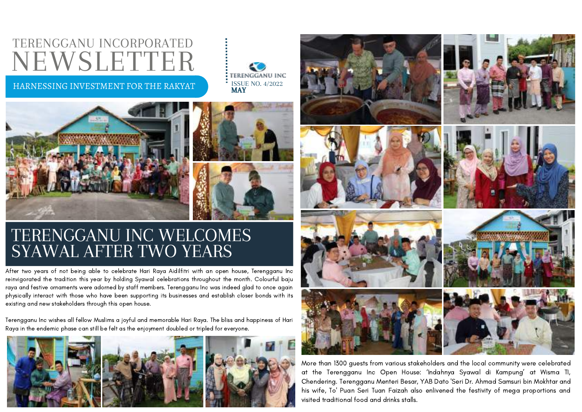### TERENGGANU INCORPORATED NEWSLETTER

### HARNESSING INVESTMENT FOR THE RAKYAT





### TERENGGANU INC WELCOMES SYAWAL AFTER TWO YEARS

After two years of not being able to celebrate Hari Raya Aidilfitri with an open house, Terengganu Inc reinvigorated the tradition this year by holding Syawal celebrations throughout the month. Colourful baju raya and festive ornaments were adorned by staff members. Terengganu Inc was indeed glad to once again physically interact with those who have been supporting its businesses and establish closer bonds with its existing and new stakeholders through this open house.

Terengganu Inc wishes all fellow Muslims a joyful and memorable Hari Raya. The bliss and happiness of Hari Raya in the endemic phase can still be felt as the enjoyment doubled or tripled for everyone.





More than 1300 guests from various stakeholders and the local community were celebrated at the Terengganu Inc Open House: 'Indahnya Syawal di Kampung' at Wisma TI, Chendering. Terengganu Menteri Besar, YAB Dato 'Seri Dr. Ahmad Samsuri bin Mokhtar and his wife, To' Puan Seri Tuan Faizah also enlivened the festivity of mega proportions and visited traditional food and drinks stalls.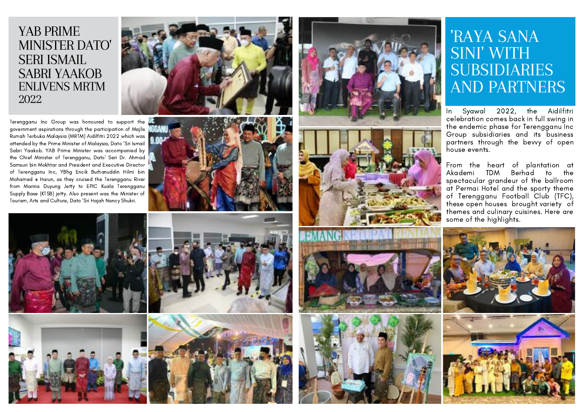# YAB PRIME M I N I S T E R DAT O' SERI ISMAIL SABRI YAAKOB ENLIVENS MRTM <sup>2022</sup>

Terengganu Inc Group was honoured to support the government aspirations through the participation of Majlis Rumah Terbuka Malaysia (MRTM) Aidilfitri 2022 which was attended by the Prime Minister of Malaysia, Dato 'Sri Ismail Sabri Yaakob. YAB Prime Minister was accompanied by the Chief Minister of Terengganu, Dato' Seri Dr. Ahmad Samsuri bin Mokhtar and President and Executive Director of Terengganu Inc, YBhg Encik Burhanuddin Hilmi bin Mohamed @ Harun, as they cruised the Terengganu River from Marina Duyung Jetty to EPIC Kuala Terengganu Supply Base (KTSB) jetty. Also present was the Minister of











# "RAYA SANA<br>SINI" WITH<br>SUBSIDIARIES<br>AND PARTNERS<br>In Syawal 2022, the Aidilf<br>celebration comes back in full swing<br>the endemic phase for Terengganu I<br>Group subsidiaries and its busine<br>partners through the bevy of op<br>house eve

Syawal 2022, the Aidilfitri celebration comes back in full swing in the endemic phase for Terengganu Inc Group subsidiaries and its business partners through the bevvy of open house events.

From the heart of plantation at Akademi TDM Berhad to the spectacular grandeur of the ballroom at Permai Hotel and the sporty theme of Terengganu Football Club (TFC), these open houses brought variety of themes and culinary cuisines. Here are<br>some of the highlights.









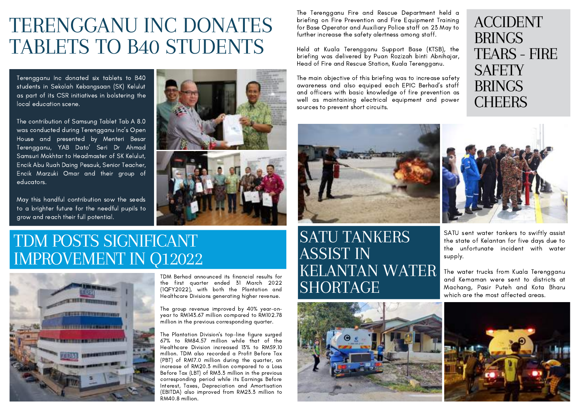## TERENGGANU INC DONATES TABLETS TO B40 STUDENTS

Terengganu Inc donated six tablets to B40 students in Sekolah Kebangsaan (SK) Kelulut as part of its CSR initiatives in bolstering the local education scene.

The contribution of Samsung Tablet Tab A 8.0 was conducted during Terengganu Inc's Open House and presented by Menteri Besar Terengganu, YAB Dato' Seri Dr Ahmad Samsuri Mokhtar to Headmaster of SK Kelulut, Encik Abu Ruah Daing Pesauk, Senior Teacher, Encik Marzuki Omar and their group of educators.

May this handful contribution sow the seeds to a brighter future for the needful pupils to grow and reach their full potential.

### TDM POSTS SIGNIFICANT IMPROVEMENT IN Q12022



TDM Berhad announced its financial results for the first quarter ended 31 March 2022 (1QFY2022), with both the Plantation and Healthcare Divisions generating higher revenue.

The group revenue improved by 40% year-onyear to RM143.67 million compared to RM102.78 million in the previous corresponding quarter.

The Plantation Division's top-line figure surged 67% to RM84.57 million while that of the Healthcare Division increased 13% to RM59.10 million. TDM also recorded a Profit Before Tax (PBT) of RM17.0 million during the quarter, an increase of RM20.3 million compared to a Loss Before Tax (LBT) of RM3.3 million in the previous corresponding period while its Earnings Before Interest, Taxes, Depreciation and Amortisation (EBITDA) also improved from RM23.3 million to RM40.8 million.

### SATU TANKERS ASSIST IN KELANTAN WATER **SHORTAGE**



The Terengganu Fire and Rescue Department held a briefing on Fire Prevention and Fire Equipment Training for Base Operator and Auxiliary Police staff on 23 May to further increase the safety alertness among staff.

Held at Kuala Terengganu Support Base (KTSB), the briefing was delivered by Puan Rozizah binti Abnihajar, Head of Fire and Rescue Station, Kuala Terengganu.

The main objective of this briefing was to increase safety awareness and also equiped each EPIC Berhad's staff and officers with basic knowledge of fire prevention as well as maintaining electrical equipment and power sources to prevent short circuits.





SATU sent water tankers to swiftly assist the state of Kelantan for five days due to the unfortunate incident with water supply.

The water trucks from Kuala Terengganu and Kemaman were sent to districts at Machang, Pasir Puteh and Kota Bharu which are the most affected areas.